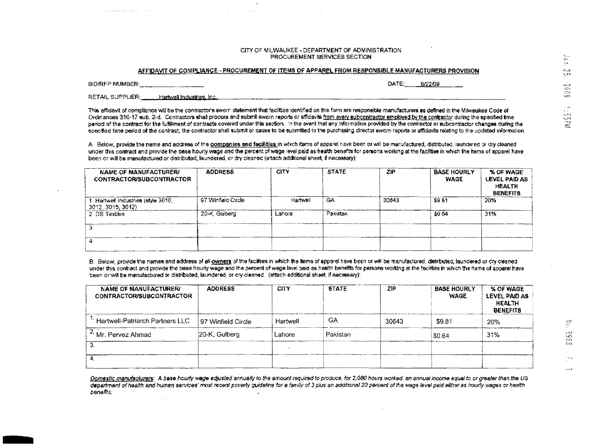## CITY OF MILWAUKEE - DEPARTMENT OF ADMINISTRATION PROCUREMENT SERVICES SECTION

## AFFIDAVIT OF COMPLIANCE - PROCUREMENT OF ITEMS OF APPAREL FROM RESPONSIBLE MANUFACTURERS PROVISION

BID/RFP NUMBER:

DATE: 6/22/09

**RETAIL SUPPLIER:** Hartwell Industries, Inc.

This affidavit of compliance will be the contractor's sworn statement that facilities identified on this form are responsible manufacturers as defined in the Mawaukee Code of Ordinances 310-17 sub, 2-d. Contractors shall procure and submit sworn reports or affidavits from every subcontractor employed by the contractor during the specified time period of the contract for the fulfilment of contracts covered under this section. In the event that any information provided by the contractor or subcontractor changes during the specified time period of the contract, the contractor shall submit or cause to be submitted to the purchasing director sworn reports or affidavits relating to the updated information.

A. Below, provide the name and address of the companies and facilities in which items of apparel have been or will be manufactured, distributed, laundered or dry cleaned under this contract and provide the base hourly wage and the percent of wage level paid as health benefits for persons working at the facilities in which the items of apparel have been or will be manufactured or distributed. Iaundered, or dry cleaned (attach additional sheet, if necessary);

| NAME OF MANUFACTURER/<br><b>CONTRACTOR/SUBCONTRACTOR</b> | <b>ADDRESS</b>     | <b>CITY</b> | <b>STATE</b> | ZIP   | <b>BASE HOURLY</b><br><b>WAGE</b> | % OF WAGE<br>LEVEL PAID AS<br><b>HEALTH</b><br><b>BENEFITS</b> |
|----------------------------------------------------------|--------------------|-------------|--------------|-------|-----------------------------------|----------------------------------------------------------------|
| Hartwell Industries (style 3010,<br>3013, 3015, 3012     | 97 Winfield Circle | Hartwell    | GA.          | 30643 | S9.81                             | 20%                                                            |
| 2 DS Textles                                             | 20-K, Guiberg      | Lahore      | Pakistan     |       | \$0.64                            | 31%                                                            |
|                                                          |                    |             |              |       |                                   |                                                                |
|                                                          |                    |             |              |       |                                   |                                                                |

B. Below, provide the names and address of all owners of the facilities in which the items of apparel have been or will be manufactured, distributed, laundered or dry cleaned under this contract and provide the base houny wage and the percent of wage lavel paid as health benefits for persons working at the facilities in which the items of apparei have been or will be manufactured or distributed, laundered, or dry cleaned. (attach additional sheet, if necessary):

| NAME OF MANUFACTURER/<br><b>CONTRACTOR/SUBCONTRACTOR</b> | <b>ADDRESS</b>     | <b>CITY</b> | <b>STATE</b> | ZIP   | <b>BASE HOURLY</b><br><b>WAGE</b> | <b>% OF WAGE</b><br>LEVEL PAID AS<br><b>HEALTH</b><br><b>BENEFITS</b> |
|----------------------------------------------------------|--------------------|-------------|--------------|-------|-----------------------------------|-----------------------------------------------------------------------|
| <b>Hartwell-Patriarch Partners LLC</b>                   | 97 Winfield Circle | Hartwell    | GΑ           | 30643 | S9.81                             | 20%                                                                   |
| <sup>2.</sup> Mr. Pervez Ahmad                           | 20-K, Gulberg      | Lahore      | Pakistan     |       | \$0.64                            | 31%                                                                   |
|                                                          |                    |             |              |       |                                   |                                                                       |
|                                                          |                    |             |              |       |                                   |                                                                       |

Domestic manufacturers: A base hourly wage adjusted annually to the amount required to produce, for 2,080 hours worked, an annual income aqual to or greater than the US department of health and human services' most recent poverty guideline for a family of 3 plus an additional 20 percent of the wage level peid either as hourly wages or health beneffts.

وزيا